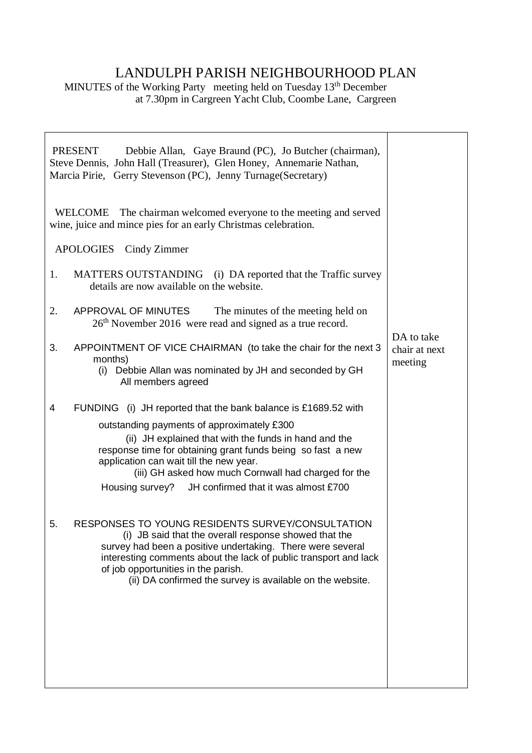## LANDULPH PARISH NEIGHBOURHOOD PLAN

MINUTES of the Working Party meeting held on Tuesday 13<sup>th</sup> December at 7.30pm in Cargreen Yacht Club, Coombe Lane, Cargreen

| <b>PRESENT</b><br>Debbie Allan, Gaye Braund (PC), Jo Butcher (chairman),<br>Steve Dennis, John Hall (Treasurer), Glen Honey, Annemarie Nathan,<br>Marcia Pirie, Gerry Stevenson (PC), Jenny Turnage (Secretary)                                                                                                                                                                                      |                                        |
|------------------------------------------------------------------------------------------------------------------------------------------------------------------------------------------------------------------------------------------------------------------------------------------------------------------------------------------------------------------------------------------------------|----------------------------------------|
| WELCOME The chairman welcomed everyone to the meeting and served<br>wine, juice and mince pies for an early Christmas celebration.                                                                                                                                                                                                                                                                   |                                        |
| APOLOGIES Cindy Zimmer                                                                                                                                                                                                                                                                                                                                                                               |                                        |
| MATTERS OUTSTANDING<br>(i) DA reported that the Traffic survey<br>1.<br>details are now available on the website.                                                                                                                                                                                                                                                                                    |                                        |
| 2.<br>APPROVAL OF MINUTES<br>The minutes of the meeting held on<br>26 <sup>th</sup> November 2016 were read and signed as a true record.                                                                                                                                                                                                                                                             |                                        |
| 3.<br>APPOINTMENT OF VICE CHAIRMAN (to take the chair for the next 3<br>months)<br>Debbie Allan was nominated by JH and seconded by GH<br>(i)<br>All members agreed                                                                                                                                                                                                                                  | DA to take<br>chair at next<br>meeting |
| 4<br>FUNDING (i) JH reported that the bank balance is £1689.52 with<br>outstanding payments of approximately £300<br>(ii) JH explained that with the funds in hand and the<br>response time for obtaining grant funds being so fast a new<br>application can wait till the new year.<br>(iii) GH asked how much Cornwall had charged for the<br>Housing survey? JH confirmed that it was almost £700 |                                        |
| RESPONSES TO YOUNG RESIDENTS SURVEY/CONSULTATION<br>5.<br>(i) JB said that the overall response showed that the<br>survey had been a positive undertaking. There were several<br>interesting comments about the lack of public transport and lack<br>of job opportunities in the parish.<br>(ii) DA confirmed the survey is available on the website.                                                |                                        |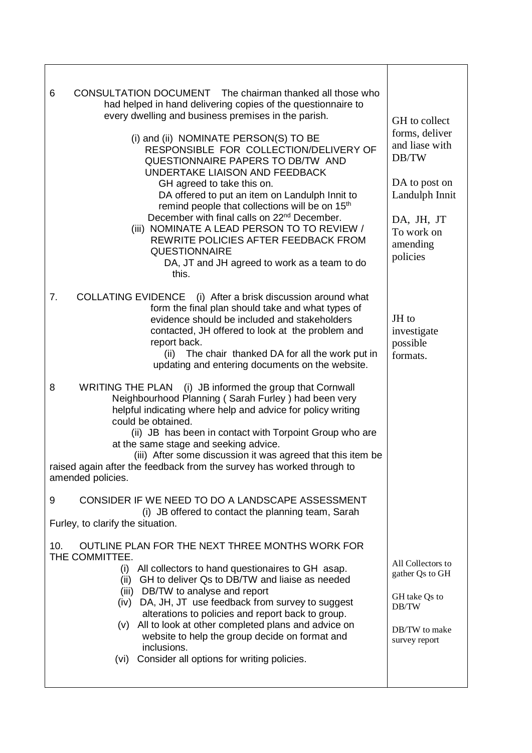| CONSULTATION DOCUMENT The chairman thanked all those who<br>6<br>had helped in hand delivering copies of the questionnaire to<br>every dwelling and business premises in the parish.<br>(i) and (ii) NOMINATE PERSON(S) TO BE<br>RESPONSIBLE FOR COLLECTION/DELIVERY OF<br>QUESTIONNAIRE PAPERS TO DB/TW AND<br>UNDERTAKE LIAISON AND FEEDBACK<br>GH agreed to take this on.<br>DA offered to put an item on Landulph Innit to<br>remind people that collections will be on 15 <sup>th</sup><br>December with final calls on 22 <sup>nd</sup> December.<br>(iii) NOMINATE A LEAD PERSON TO TO REVIEW /<br>REWRITE POLICIES AFTER FEEDBACK FROM<br><b>QUESTIONNAIRE</b><br>DA, JT and JH agreed to work as a team to do<br>this. | GH to collect<br>forms, deliver<br>and liase with<br>DB/TW<br>DA to post on<br>Landulph Innit<br>DA, JH, JT<br>To work on<br>amending<br>policies |
|---------------------------------------------------------------------------------------------------------------------------------------------------------------------------------------------------------------------------------------------------------------------------------------------------------------------------------------------------------------------------------------------------------------------------------------------------------------------------------------------------------------------------------------------------------------------------------------------------------------------------------------------------------------------------------------------------------------------------------|---------------------------------------------------------------------------------------------------------------------------------------------------|
| <b>COLLATING EVIDENCE</b><br>(i) After a brisk discussion around what<br>7.<br>form the final plan should take and what types of<br>evidence should be included and stakeholders<br>contacted, JH offered to look at the problem and<br>report back.<br>(ii) The chair thanked DA for all the work put in<br>updating and entering documents on the website.                                                                                                                                                                                                                                                                                                                                                                    | JH to<br>investigate<br>possible<br>formats.                                                                                                      |
| (i) JB informed the group that Cornwall<br>8<br><b>WRITING THE PLAN</b><br>Neighbourhood Planning (Sarah Furley) had been very<br>helpful indicating where help and advice for policy writing<br>could be obtained.<br>(ii) JB has been in contact with Torpoint Group who are<br>at the same stage and seeking advice.<br>(iii) After some discussion it was agreed that this item be<br>raised again after the feedback from the survey has worked through to<br>amended policies.                                                                                                                                                                                                                                            |                                                                                                                                                   |
| CONSIDER IF WE NEED TO DO A LANDSCAPE ASSESSMENT<br>9<br>(i) JB offered to contact the planning team, Sarah<br>Furley, to clarify the situation.                                                                                                                                                                                                                                                                                                                                                                                                                                                                                                                                                                                |                                                                                                                                                   |
| OUTLINE PLAN FOR THE NEXT THREE MONTHS WORK FOR<br>10.<br>THE COMMITTEE.<br>(i) All collectors to hand questionaires to GH asap.<br>GH to deliver Qs to DB/TW and liaise as needed<br>(ii)<br>(iii) DB/TW to analyse and report<br>DA, JH, JT use feedback from survey to suggest<br>(iv)<br>alterations to policies and report back to group.<br>All to look at other completed plans and advice on<br>(v)<br>website to help the group decide on format and<br>inclusions.<br>Consider all options for writing policies.<br>(vi)                                                                                                                                                                                              | All Collectors to<br>gather Qs to GH<br>GH take Qs to<br>DB/TW<br>DB/TW to make<br>survey report                                                  |